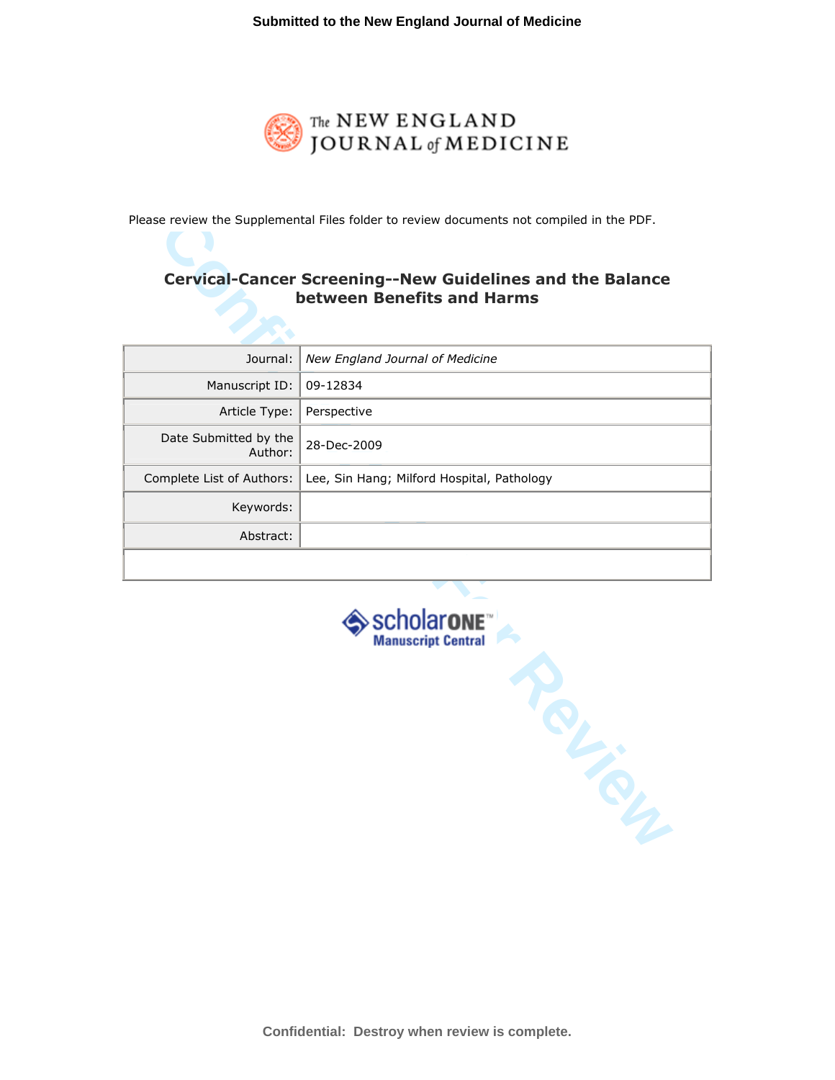

## Cervical-Cancer Screening--New Guidelines and the Balance between Benefits and Harms

| Please review the Supplemental Files folder to review documents not compiled in the PDF.       |                                                              |  |
|------------------------------------------------------------------------------------------------|--------------------------------------------------------------|--|
|                                                                                                |                                                              |  |
| <b>Cervical-Cancer Screening--New Guidelines and the Balance</b><br>between Benefits and Harms |                                                              |  |
| Journal:                                                                                       | New England Journal of Medicine                              |  |
| Manuscript ID:                                                                                 | 09-12834                                                     |  |
| Article Type:                                                                                  | Perspective                                                  |  |
| Date Submitted by the<br>Author:                                                               | 28-Dec-2009                                                  |  |
| Complete List of Authors:                                                                      | Lee, Sin Hang; Milford Hospital, Pathology                   |  |
| Keywords:                                                                                      |                                                              |  |
| Abstract:                                                                                      |                                                              |  |
|                                                                                                |                                                              |  |
|                                                                                                | <b>SCholarONE</b> <sup>"</sup><br>Manuscript Central<br>3His |  |
|                                                                                                |                                                              |  |



**Confidential: Destroy when review is complete.**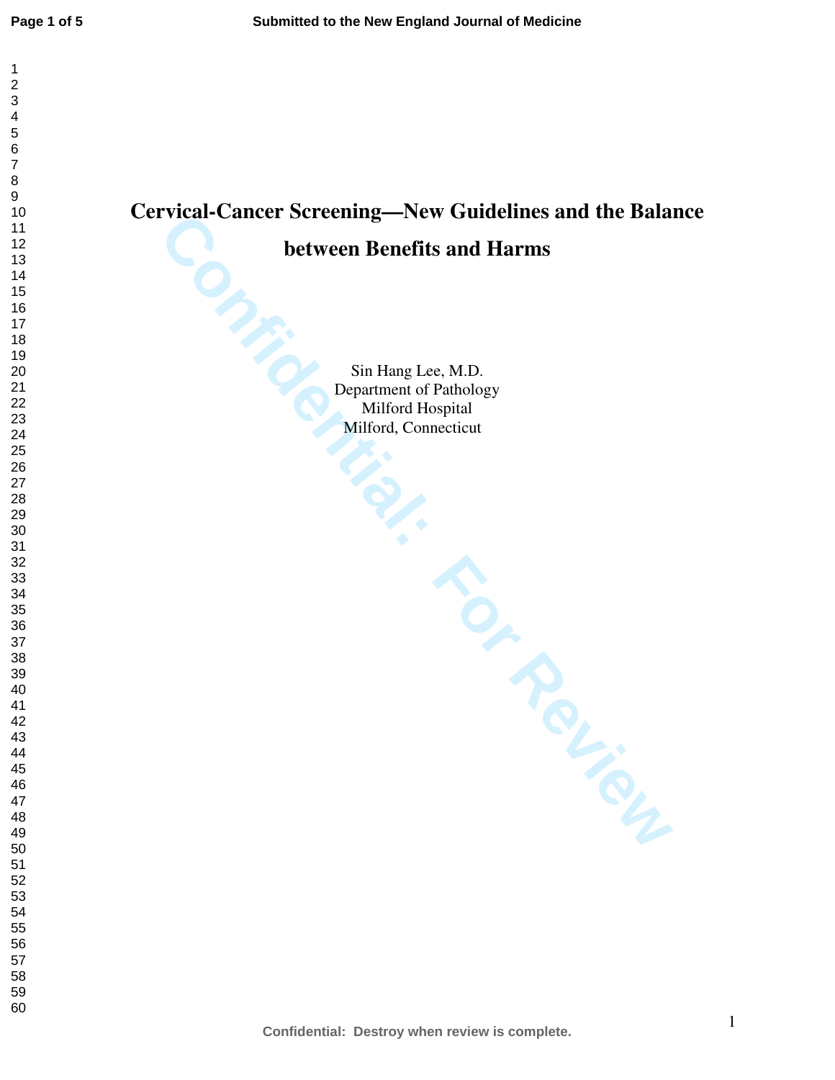## **Cervical-Cancer Screening—New Guidelines and the Balance**<br>
between Benefits and Harms<br>
Sin Hang Lee, M.D.<br>
Pepartment of Pathology<br>
Milford Hospital<br>
Milford, Connecticut

## **between Benefits and Harms**

Sin Hang Lee, M.D. Department of Pathology Milford Hospital Milford, Connecticut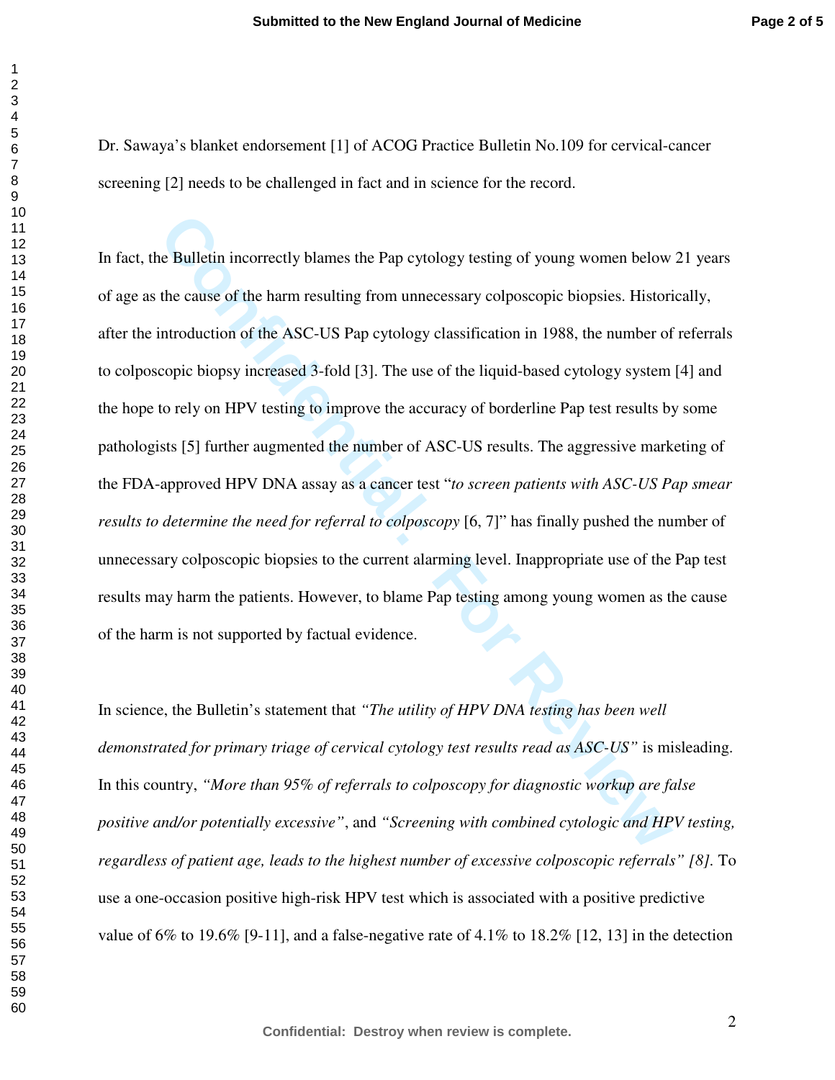Dr. Sawaya's blanket endorsement [1] of ACOG Practice Bulletin No.109 for cervical-cancer screening [2] needs to be challenged in fact and in science for the record.

**Confidentially extends the Pap cytology testing of young women below**<br>the cause of the harm resulting from unnecessary colposcopic biopsies. Historintroduction of the ASC-US Pap cytology classification in 1988, the number In fact, the Bulletin incorrectly blames the Pap cytology testing of young women below 21 years of age as the cause of the harm resulting from unnecessary colposcopic biopsies. Historically, after the introduction of the ASC-US Pap cytology classification in 1988, the number of referrals to colposcopic biopsy increased 3-fold [3]. The use of the liquid-based cytology system [4] and the hope to rely on HPV testing to improve the accuracy of borderline Pap test results by some pathologists [5] further augmented the number of ASC-US results. The aggressive marketing of the FDA-approved HPV DNA assay as a cancer test "*to screen patients with ASC-US Pap smear results to determine the need for referral to colposcopy* [6, 7]" has finally pushed the number of unnecessary colposcopic biopsies to the current alarming level. Inappropriate use of the Pap test results may harm the patients. However, to blame Pap testing among young women as the cause of the harm is not supported by factual evidence.

In science, the Bulletin's statement that *"The utility of HPV DNA testing has been well demonstrated for primary triage of cervical cytology test results read as ASC-US"* is misleading. In this country, *"More than 95% of referrals to colposcopy for diagnostic workup are false positive and/or potentially excessive"*, and *"Screening with combined cytologic and HPV testing, regardless of patient age, leads to the highest number of excessive colposcopic referrals" [8].* To use a one-occasion positive high-risk HPV test which is associated with a positive predictive value of 6% to 19.6% [9-11], and a false-negative rate of 4.1% to 18.2% [12, 13] in the detection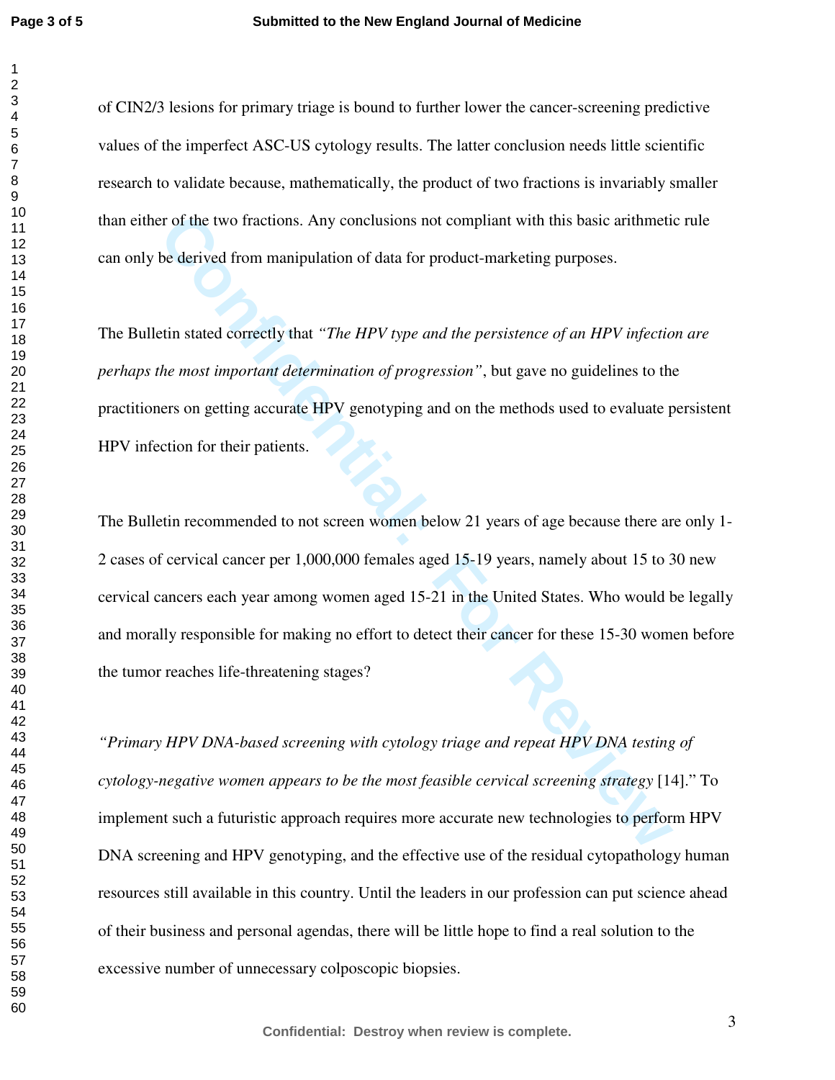of CIN2/3 lesions for primary triage is bound to further lower the cancer-screening predictive values of the imperfect ASC-US cytology results. The latter conclusion needs little scientific research to validate because, mathematically, the product of two fractions is invariably smaller than either of the two fractions. Any conclusions not compliant with this basic arithmetic rule can only be derived from manipulation of data for product-marketing purposes.

The Bulletin stated correctly that *"The HPV type and the persistence of an HPV infection are perhaps the most important determination of progression"*, but gave no guidelines to the practitioners on getting accurate HPV genotyping and on the methods used to evaluate persistent HPV infection for their patients.

For of the two fractions. Any conclusions not compliant with this basic arithmetible derived from manipulation of data for product-marketing purposes.<br>
Let the most important determination of progression", but gave no guid The Bulletin recommended to not screen women below 21 years of age because there are only 1- 2 cases of cervical cancer per 1,000,000 females aged 15-19 years, namely about 15 to 30 new cervical cancers each year among women aged 15-21 in the United States. Who would be legally and morally responsible for making no effort to detect their cancer for these 15-30 women before the tumor reaches life-threatening stages?

*"Primary HPV DNA-based screening with cytology triage and repeat HPV DNA testing of cytology-negative women appears to be the most feasible cervical screening strategy* [14]." To implement such a futuristic approach requires more accurate new technologies to perform HPV DNA screening and HPV genotyping, and the effective use of the residual cytopathology human resources still available in this country. Until the leaders in our profession can put science ahead of their business and personal agendas, there will be little hope to find a real solution to the excessive number of unnecessary colposcopic biopsies.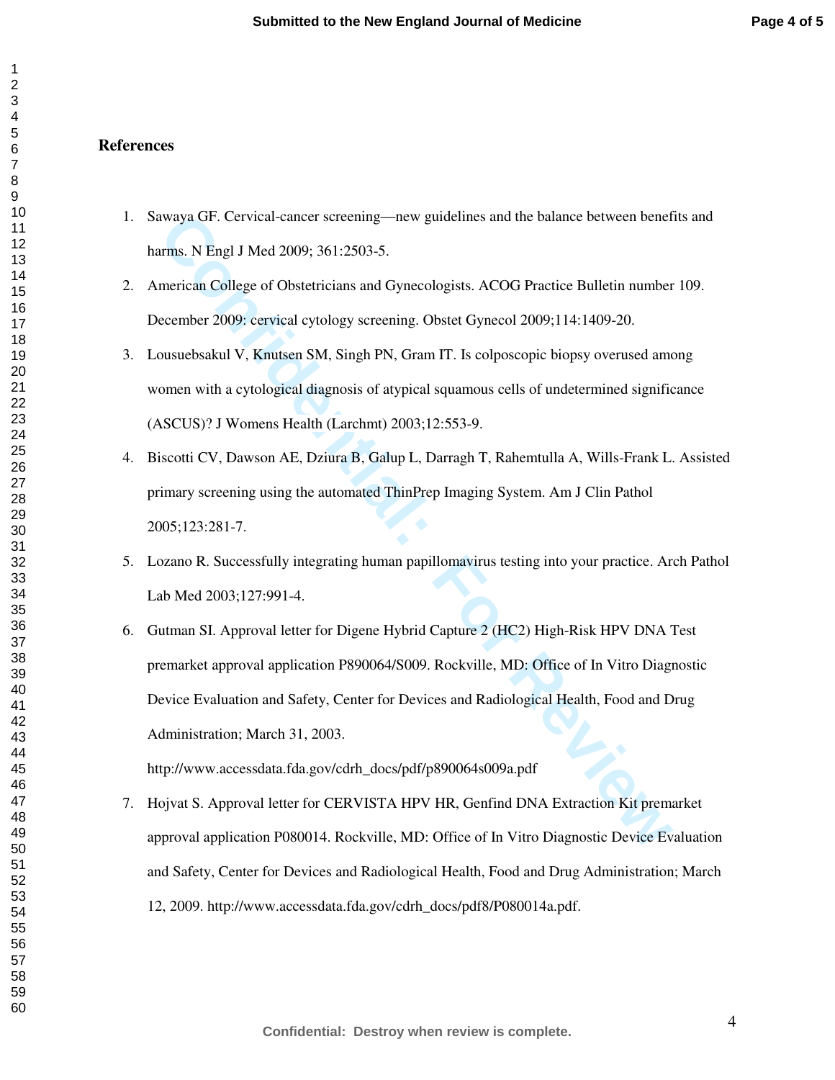## **References**

- 1. Sawaya GF. Cervical-cancer screening—new guidelines and the balance between benefits and harms. N Engl J Med 2009; 361:2503-5.
- 2. American College of Obstetricians and Gynecologists. ACOG Practice Bulletin number 109. December 2009: cervical cytology screening. Obstet Gynecol 2009;114:1409-20.
- 3. Lousuebsakul V, Knutsen SM, Singh PN, Gram IT. Is colposcopic biopsy overused among women with a cytological diagnosis of atypical squamous cells of undetermined significance [\(ASCUS\)?](http://www.ncbi.nlm.nih.gov/pubmed/13678510?itool=EntrezSystem2.PEntrez.Pubmed.Pubmed_ResultsPanel.Pubmed_RVDocSum&ordinalpos=1) J Womens Health (Larchmt) 2003;12:553-9.
- 4. Biscotti CV, Dawson AE, Dziura B, Galup L, Darragh T, Rahemtulla A, Wills-Frank L. [Assisted](http://www.ncbi.nlm.nih.gov/pubmed/15842055?itool=EntrezSystem2.PEntrez.Pubmed.Pubmed_ResultsPanel.Pubmed_RVDocSum&ordinalpos=5)  primary screening using the automated ThinPrep Imaging System. Am J Clin Pathol 2005;123:281-7.
- 5. Lozano R. Successfully integrating human papillomavirus testing into your practice. Arch Pathol Lab Med 2003;127:991-4.
- Interactive and the balancer screening—new gui[de](http://www.ncbi.nlm.nih.gov/pubmed/13678510?itool=EntrezSystem2.PEntrez.Pubmed.Pubmed_ResultsPanel.Pubmed_RVDocSum&ordinalpos=1)lines and the balance between benefitms. N Engl J Med 2009; 361:2503-5.<br>
Imerican College of Obstetricians and Gynecologists. ACOG Practice Bulletin number<br> **ecember 2009: ce** 6. Gutman SI. Approval letter for Digene Hybrid Capture 2 (HC2) High-Risk HPV DNA Test premarket approval application P890064/S009. Rockville, MD: Office of In Vitro Diagnostic Device Evaluation and Safety, Center for Devices and Radiological Health, Food and Drug Administration; March 31, 2003.

http://www.accessdata.fda.gov/cdrh\_docs/pdf/p890064s009a.pdf

7. Hojvat S. Approval letter for CERVISTA HPV HR, Genfind DNA Extraction Kit premarket approval application P080014. Rockville, MD: Office of In Vitro Diagnostic Device Evaluation and Safety, Center for Devices and Radiological Health, Food and Drug Administration; March 12, 2009. [http://www.accessdata.fda.gov/cdrh\\_docs/pdf8/P080014a.pdf](http://www.accessdata.fda.gov/cdrh_docs/pdf8/P080014a.pdf).